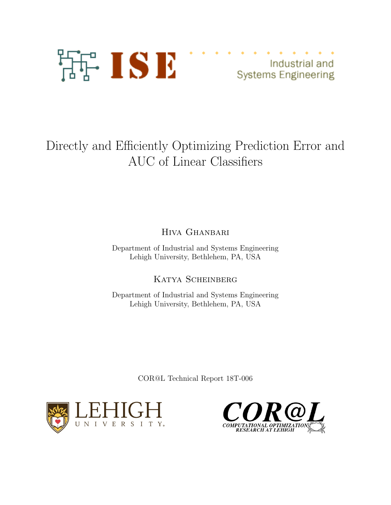

Industrial and **Systems Engineering** 

# Directly and Efficiently Optimizing Prediction Error and AUC of Linear Classifiers

Hiva Ghanbari

Department of Industrial and Systems Engineering Lehigh University, Bethlehem, PA, USA

Katya Scheinberg

Department of Industrial and Systems Engineering Lehigh University, Bethlehem, PA, USA

COR@L Technical Report 18T-006



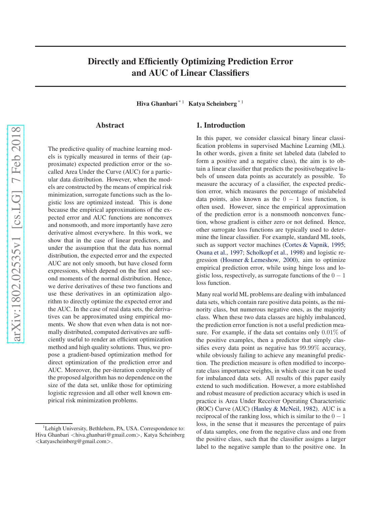## <span id="page-1-0"></span>Directly and Efficiently Optimizing Prediction Error and AUC of Linear Classifiers

Hiva Ghanbari<sup>\* 1</sup> Katya Scheinberg<sup>\* 1</sup>

#### Abstract

The predictive quality of machine learning models is typically measured in terms of their (approximate) expected prediction error or the socalled Area Under the Curve (AUC) for a particular data distribution. However, when the models are constructed by the means of empirical risk minimization, surrogate functions such as the logistic loss are optimized instead. This is done because the empirical approximations of the expected error and AUC functions are nonconvex and nonsmooth, and more importantly have zero derivative almost everywhere. In this work, we show that in the case of linear predictors, and under the assumption that the data has normal distribution, the expected error and the expected AUC are not only smooth, but have closed form expressions, which depend on the first and second moments of the normal distribution. Hence, we derive derivatives of these two functions and use these derivatives in an optimization algorithm to directly optimize the expected error and the AUC. In the case of real data sets, the derivatives can be approximated using empirical moments. We show that even when data is not normally distributed, computed derivatives are sufficiently useful to render an efficient optimization method and high quality solutions. Thus, we propose a gradient-based optimization method for direct optimization of the prediction error and AUC. Moreover, the per-iteration complexity of the proposed algorithm has no dependence on the size of the data set, unlike those for optimizing logistic regression and all other well known empirical risk minimization problems.

#### 1. Introduction

In this paper, we consider classical binary linear classification problems in supervised Machine Learning (ML). In other words, given a finite set labeled data (labeled to form a positive and a negative class), the aim is to obtain a linear classifier that predicts the positive/negative labels of unseen data points as accurately as possible. To measure the accuracy of a classifier, the expected prediction error, which measures the percentage of mislabeled data points, also known as the  $0 - 1$  loss function, is often used. However, since the empirical approximation of the prediction error is a nonsmooth nonconvex function, whose gradient is either zero or not defined. Hence, other surrogate loss functions are typically used to determine the linear classifier. For example, standard ML tools, such as support vector machines [\(Cortes & Vapnik](#page-9-0), [1995;](#page-9-0) [Osuna et al.,](#page-9-0) [1997](#page-9-0); [Scholkopf et al.,](#page-9-0) [1998](#page-9-0)) and logistic regression [\(Hosmer & Lemeshow,](#page-9-0) [2000\)](#page-9-0), aim to optimize empirical prediction error, while using hinge loss and logistic loss, respectively, as surrogate functions of the  $0 - 1$ loss function.

Many real world ML problems are dealing with imbalanced data sets, which contain rare positive data points, as the minority class, but numerous negative ones, as the majority class. When these two data classes are highly imbalanced, the prediction error function is not a useful prediction measure. For example, if the data set contains only 0.01% of the positive examples, then a predictor that simply classifies every data point as negative has 99.99% accuracy, while obviously failing to achieve any meaningful prediction. The prediction measure is often modified to incorporate class importance weights, in which case it can be used for imbalanced data sets. All results of this paper easily extend to such modification. However, a more established and robust measure of prediction accuracy which is used in practice is Area Under Receiver Operating Characteristic (ROC) Curve (AUC) [\(Hanley & McNeil](#page-9-0), [1982\)](#page-9-0). AUC is a reciprocal of the ranking loss, which is similar to the  $0 - 1$ loss, in the sense that it measures the percentage of pairs of data samples, one from the negative class and one from the positive class, such that the classifier assigns a larger label to the negative sample than to the positive one. In

<sup>&</sup>lt;sup>1</sup>Lehigh University, Bethlehem, PA, USA. Correspondence to: Hiva Ghanbari <hiva.ghanbari@gmail.com>, Katya Scheinberg <katyascheinberg@gmail.com>.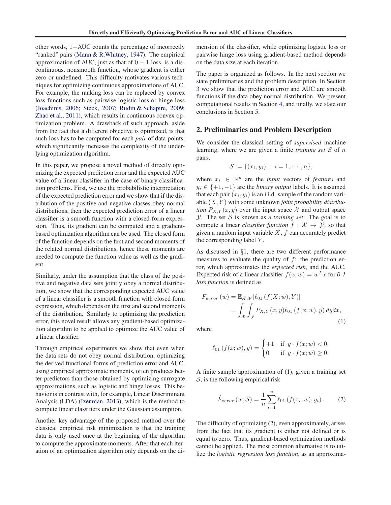other words, 1−AUC counts the percentage of incorrectly "ranked" pairs [\(Mann & R.Whitney,](#page-9-0) [1947\)](#page-9-0). The empirical approximation of AUC, just as that of  $0 - 1$  loss, is a discontinuous, nonsmooth function, whose gradient is either zero or undefined. This difficulty motivates various techniques for optimizing continuous approximations of AUC. For example, the ranking loss can be replaced by convex loss functions such as pairwise logistic loss or hinge loss [\(Joachims,](#page-9-0) [2006](#page-9-0); [Steck,](#page-9-0) [2007](#page-9-0); [Rudin & Schapire,](#page-9-0) [2009;](#page-9-0) [Zhao et al.,](#page-9-0) [2011](#page-9-0)), which results in continuous convex optimization problem. A drawback of such approach, aside from the fact that a different objective is optimized, is that such loss has to be computed for each *pair* of data points, which significantly increases the complexity of the underlying optimization algorithm.

In this paper, we propose a novel method of directly optimizing the expected prediction error and the expected AUC value of a linear classifier in the case of binary classification problems. First, we use the probabilistic interpretation of the expected prediction error and we show that if the distribution of the positive and negative classes obey normal distributions, then the expected prediction error of a linear classifier is a smooth function with a closed-form expression. Thus, its gradient can be computed and a gradientbased optimization algorithm can be used. The closed form of the function depends on the first and second moments of the related normal distributions, hence these moments are needed to compute the function value as well as the gradient.

Similarly, under the assumption that the class of the positive and negative data sets jointly obey a normal distribution, we show that the corresponding expected AUC value of a linear classifier is a smooth function with closed form expression, which depends on the first and second moments of the distribution. Similarly to optimizing the prediction error, this novel result allows any gradient-based optimization algorithm to be applied to optimize the AUC value of a linear classifier.

Through empirical experiments we show that even when the data sets do not obey normal distribution, optimizing the derived functional forms of prediction error and AUC, using empirical approximate moments, often produces better predictors than those obtained by optimizing surrogate approximations, such as logistic and hinge losses. This behavior is in contrast with, for example, Linear Discriminant Analysis (LDA) [\(Izenman](#page-9-0), [2013\)](#page-9-0), which is the method to compute linear classifiers under the Gaussian assumption.

Another key advantage of the proposed method over the classical empirical risk minimization is that the training data is only used once at the beginning of the algorithm to compute the approximate moments. After that each iteration of an optimization algorithm only depends on the dimension of the classifier, while optimizing logistic loss or pairwise hinge loss using gradient-based method depends on the data size at each iteration.

The paper is organized as follows. In the next section we state preliminaries and the problem description. In Section [3](#page-4-0) we show that the prediction error and AUC are smooth functions if the data obey normal distribution. We present computational results in Section [4,](#page-5-0) and finally, we state our conclusions in Section [5.](#page-8-0)

#### 2. Preliminaries and Problem Description

We consider the classical setting of *supervised* machine learning, where we are given a finite *training set* S of n pairs,

$$
\mathcal{S} := \{(x_i, y_i) : i = 1, \cdots, n\},\
$$

where  $x_i \in \mathbb{R}^d$  are the *input* vectors of *features* and  $y_i \in \{+1, -1\}$  are the *binary output* labels. It is assumed that each pair  $(x_i, y_i)$  is an i.i.d. sample of the random variable (X, Y ) with some unknown *joint probability distribution*  $P_{X,Y}(x, y)$  over the input space X and output space  $Y$ . The set S is known as a *training set*. The goal is to compute a linear *classifier function*  $f : \mathcal{X} \to \mathcal{Y}$ , so that given a random input variable  $X$ ,  $f$  can accurately predict the corresponding label  $Y$ .

As discussed in §[1,](#page-1-0) there are two different performance measures to evaluate the quality of  $f$ : the prediction error, which approximates the *expected risk*, and the AUC. Expected risk of a linear classifier  $f(x; w) = w<sup>T</sup> x$  for 0-1 *loss function* is defined as

$$
F_{error}(w) = \mathbb{E}_{\mathcal{X}, \mathcal{Y}} [\ell_{01} (f(X; w), Y)]
$$
  
= 
$$
\int_{\mathcal{X}} \int_{\mathcal{Y}} P_{X, Y}(x, y) \ell_{01} (f(x; w), y) dy dx,
$$
  
(1)

where

$$
\ell_{01}(f(x; w), y) = \begin{cases} +1 & \text{if } y \cdot f(x; w) < 0, \\ 0 & \text{if } y \cdot f(x; w) \ge 0. \end{cases}
$$

A finite sample approximation of (1), given a training set  $S$ , is the following empirical risk

$$
\hat{F}_{error}(w; \mathcal{S}) = \frac{1}{n} \sum_{i=1}^{n} \ell_{01} \left( f(x_i; w), y_i \right). \tag{2}
$$

The difficulty of optimizing (2), even approximately, arises from the fact that its gradient is either not defined or is equal to zero. Thus, gradient-based optimization methods cannot be applied. The most common alternative is to utilize the *logistic regression loss function*, as an approxima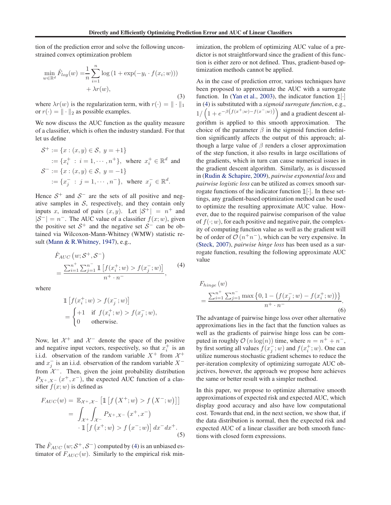<span id="page-3-0"></span>tion of the prediction error and solve the following unconstrained convex optimization problem

$$
\min_{w \in \mathbb{R}^d} \hat{F}_{log}(w) = \frac{1}{n} \sum_{i=1}^n \log \left( 1 + \exp(-y_i \cdot f(x_i; w)) \right) + \lambda r(w),
$$
\n(3)

where  $\lambda r(w)$  is the regularization term, with  $r(\cdot) = || \cdot ||_1$ or  $r(\cdot) = || \cdot ||_2$  as possible examples.

We now discuss the AUC function as the quality measure of a classifier, which is often the industry standard. For that let us define

$$
\mathcal{S}^+ := \{x : (x, y) \in \mathcal{S}, y = +1\}
$$
  
 :=  $\{x_i^+ : i = 1, \dots, n^+\}$ , where  $x_i^+ \in \mathbb{R}^d$  and  

$$
\mathcal{S}^- := \{x : (x, y) \in \mathcal{S}, y = -1\}
$$
  
 :=  $\{x_j^- : j = 1, \dots, n^-\}$ , where  $x_j^- \in \mathbb{R}^d$ .

Hence  $S^+$  and  $S^-$  are the sets of all positive and negative samples in  $S$ , respectively, and they contain only inputs x, instead of pairs  $(x, y)$ . Let  $|S^+| = n^+$  and  $|\mathcal{S}^{-}| = n^{-}$ . The AUC value of a classifier  $f(x; w)$ , given the positive set  $S^+$  and the negative set  $S^-$  can be obtained via Wilcoxon-Mann-Whitney (WMW) statistic result [\(Mann & R.Whitney,](#page-9-0) [1947\)](#page-9-0), e.g.,

$$
\hat{F}_{AUC}(w; \mathcal{S}^+, \mathcal{S}^-)
$$
\n
$$
= \frac{\sum_{i=1}^{n^+} \sum_{j=1}^{n^-} \mathbb{1} \left[ f(x_i^+; w) > f(x_j^-; w) \right]}{n^+ \cdot n^-},
$$
\n
$$
(4)
$$

where

$$
\mathbb{1}\left[f(x_i^+; w) > f(x_j^-; w)\right] \\
= \begin{cases} +1 & \text{if } f(x_i^+; w) > f(x_j^-; w), \\ 0 & \text{otherwise.} \end{cases}
$$

Now, let  $\mathcal{X}^+$  and  $\mathcal{X}^-$  denote the space of the positive and negative input vectors, respectively, so that  $x_i^+$  is an i.i.d. observation of the random variable  $X^+$  from  $\mathcal{X}^+$ and  $x_j^-$  is an i.i.d. observation of the random variable  $X^$ from  $\mathcal{X}^-$ . Then, given the joint probability distribution  $P_{X^+,X^-}(x^+,x^-)$ , the expected AUC function of a classifier  $f(x; w)$  is defined as

$$
F_{AUC}(w) = \mathbb{E}_{\mathcal{X}^+, \mathcal{X}^-} [\mathbb{1} [f(X^+; w) > f(X^-; w)]]
$$
  
= 
$$
\int_{\mathcal{X}^+} \int_{\mathcal{X}^-} P_{X^+, X^-}(x^+, x^-)
$$

$$
\cdot \mathbb{1} [f(x^+; w) > f(x^-; w)] dx^- dx^+.
$$
 (5)

The  $\hat{F}_{AUC}$   $(w; \mathcal{S}^+, \mathcal{S}^-)$  computed by (4) is an unbiased estimator of  $F_{AUC}(w)$ . Similarly to the empirical risk minimization, the problem of optimizing AUC value of a predictor is not straightforward since the gradient of this function is either zero or not defined. Thus, gradient-based optimization methods cannot be applied.

As in the case of prediction error, various techniques have been proposed to approximate the AUC with a surrogate function. In [\(Yan et al.](#page-9-0), [2003\)](#page-9-0), the indicator function  $\mathbb{1}[\cdot]$ in (4) is substituted with a *sigmoid surrogate function*, e.g.,  $1/\left(1+e^{-\beta\left(f(x^+;w)-f(x^-;w)\right)}\right)$  and a gradient descent algorithm is applied to this smooth approximation. The choice of the parameter  $\beta$  in the sigmoid function definition significantly affects the output of this approach; although a large value of  $\beta$  renders a closer approximation of the step function, it also results in large oscillations of the gradients, which in turn can cause numerical issues in the gradient descent algorithm. Similarly, as is discussed in [\(Rudin & Schapire,](#page-9-0) [2009\)](#page-9-0), *pairwise exponential loss* and *pairwise logistic loss* can be utilized as convex smooth surrogate functions of the indicator function  $\mathbb{1}[\cdot]$ . In these settings, any gradient-based optimization method can be used to optimize the resulting approximate AUC value. However, due to the required pairwise comparison of the value of  $f(\cdot; w)$ , for each positive and negative pair, the complexity of computing function value as well as the gradient will be of order of  $\mathcal{O}(n^+n^-)$ , which can be very expensive. In [\(Steck,](#page-9-0) [2007\)](#page-9-0), *pairwise hinge loss* has been used as a surrogate function, resulting the following approximate AUC value

$$
F_{hinge}(w)
$$
  
= 
$$
\frac{\sum_{i=1}^{n^+} \sum_{j=1}^{n^-} \max\{0, 1 - (f(x_j^-; w) - f(x_i^+; w))\}}{n^+ \cdot n^-}.
$$
 (6)

The advantage of pairwise hinge loss over other alternative approximations lies in the fact that the function values as well as the gradients of pairwise hinge loss can be computed in roughly  $\mathcal{O}(n \log(n))$  time, where  $n = n^+ + n^-$ , by first sorting all values  $f(x_j^-; w)$  and  $f(x_i^+; w)$ . One can utilize numerous stochastic gradient schemes to reduce the per-iteration complexity of optimizing surrogate AUC objectives, however, the approach we propose here achieves the same or better result with a simpler method.

In this paper, we propose to optimize alternative smooth approximations of expected risk and expected AUC, which display good accuracy and also have low computational cost. Towards that end, in the next section, we show that, if the data distribution is normal, then the expected risk and expected AUC of a linear classifier are both smooth functions with closed form expressions.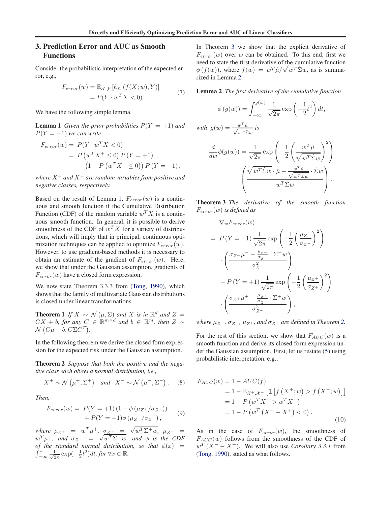#### <span id="page-4-0"></span>3. Prediction Error and AUC as Smooth Functions

Consider the probabilistic interpretation of the expected error, e.g.,

$$
F_{error}(w) = \mathbb{E}_{X,Y} [\ell_{01} (f(X; w), Y)]
$$
  
=  $P(Y \cdot w^T X < 0).$  (7)

We have the following simple lemma.

**Lemma 1** *Given the prior probabilities*  $P(Y = +1)$  *and*  $P(Y = -1)$  *we can write* 

$$
F_{error}(w) = P(Y \cdot w^T X < 0)
$$
\n
$$
= P(w^T X^+ \le 0) P(Y = +1)
$$
\n
$$
+ (1 - P(w^T X^- \le 0)) P(Y = -1),
$$

*where* X<sup>+</sup> *and* X<sup>−</sup> *are random variables from positive and negative classes, respectively.*

Based on the result of Lemma 1,  $F_{error}(w)$  is a continuous and smooth function if the Cumulative Distribution Function (CDF) of the random variable  $w^T X$  is a continuous smooth function. In general, it is possible to derive smoothness of the CDF of  $w^T X$  for a variety of distributions, which will imply that in principal, continuous optimization techniques can be applied to optimize  $F_{error}(w)$ . However, to use gradient-based methods it is necessary to obtain an estimate of the gradient of  $F_{error}(w)$ . Here, we show that under the Gaussian assumption, gradients of  $F_{error}(w)$  have a closed form expression.

We now state Theorem 3.3.3 from [\(Tong,](#page-9-0) [1990\)](#page-9-0), which shows that the family of multivariate Gaussian distributions is closed under linear transformations.

**Theorem 1** *If*  $X \sim \mathcal{N}(\mu, \Sigma)$  *and*  $X$  *is in*  $\mathbb{R}^d$  *and*  $Z =$  $CX + b$ , for any  $C \in \mathbb{R}^{m \times d}$  and  $b \in \mathbb{R}^m$ , then  $Z \sim$  $\mathcal{N}\left(C\mu+b, C\Sigma C^T\right)$ .

In the following theorem we derive the closed form expression for the expected risk under the Gaussian assumption.

Theorem 2 *Suppose that both the positive and the negative class each obeys a normal distribution, i.e.,*

$$
X^{+} \sim \mathcal{N}\left(\mu^{+}, \Sigma^{+}\right) \quad \text{and} \quad X^{-} \sim \mathcal{N}\left(\mu^{-}, \Sigma^{-}\right). \tag{8}
$$

*Then,*

$$
F_{error}(w) = P(Y = +1) (1 - \phi (\mu_{Z^+} / \sigma_{Z^+}))
$$
  
+ P(Y = -1) \phi (\mu\_{Z^-} / \sigma\_{Z^-}), (9)

*where*  $\mu_{Z^+} = w^T \mu^+$ ,  $\sigma_{Z^+} = \sqrt{w^T \Sigma^+ w}$ ,  $\mu_{Z^-} = w^T \mu^-$ , and  $\sigma_{Z^-} = \sqrt{w^T \Sigma^- w}$ , and  $\phi$  is the CDF  $\int_{-\infty}^{x} \frac{1}{\sqrt{2\pi}} \exp(-\frac{1}{2}t^2) dt$ , for  $\forall x \in \mathbb{R}$ . *of the standard normal distribution, so that*  $\phi(x)$  = In Theorem 3 we show that the explicit derivative of  $F_{error}(w)$  over w can be obtained. To this end, first we need to state the first derivative of the cumulative function  $\phi(f(w))$ , where  $f(w) = w^T \hat{\mu} / \sqrt{w^T \hat{\Sigma} w}$ , as is summarized in Lemma 2.

Lemma 2 *The first derivative of the cumulative function*

$$
\phi(g(w)) = \int_{-\infty}^{g(w)} \frac{1}{\sqrt{2\pi}} \exp\left(-\frac{1}{2}t^2\right) dt,
$$

with  $g(w) = \frac{w^T \hat{\mu}}{\sqrt{w^T \hat{\mathbf{y}}}}$  $\frac{w^2 \mu}{w^T \hat{\Sigma} w}$  is

$$
\frac{d}{dw}\phi(g(w)) = \frac{1}{\sqrt{2\pi}} \exp\left(-\frac{1}{2}\left(\frac{w^T \hat{\mu}}{\sqrt{w^T \hat{\Sigma} w}}\right)^2\right)
$$

$$
\left(\frac{\sqrt{w^T \hat{\Sigma} w} \cdot \hat{\mu} - \frac{w^T \hat{\mu}}{\sqrt{w^T \hat{\Sigma} w}} \cdot \hat{\Sigma}w}{w^T \hat{\Sigma} w}\right).
$$

Theorem 3 *The derivative of the smooth function* Ferror(w) *is defined as*

$$
\nabla_{w} F_{error}(w)
$$
\n
$$
= P(Y = -1) \frac{1}{\sqrt{2\pi}} \exp\left(-\frac{1}{2} \left(\frac{\mu_Z}{\sigma_Z}\right)^2\right)
$$
\n
$$
\cdot \left(\frac{\sigma_Z - \mu^2 - \frac{\mu_Z}{\sigma_Z} \cdot \Sigma^{-}w}{\sigma_Z^2}\right)
$$
\n
$$
- P(Y = +1) \frac{1}{\sqrt{2\pi}} \exp\left(-\frac{1}{2} \left(\frac{\mu_Z}{\sigma_Z}\right)^2\right)
$$
\n
$$
\cdot \left(\frac{\sigma_Z + \mu^2 - \frac{\mu_Z}{\sigma_Z^2} \cdot \Sigma^{+}w}{\sigma_Z^2 + w}\right),
$$

*where*  $\mu_{Z^-}$ ,  $\sigma_{Z^-}$ ,  $\mu_{Z^+}$ , and  $\sigma_{Z^+}$  are defined in Theorem 2.

For the rest of this section, we show that  $F_{AUC}(w)$  is a smooth function and derive its closed form expression under the Gaussian assumption. First, let us restate [\(5\)](#page-3-0) using probabilistic interpretation, e.g.,

$$
F_{AUC}(w) = 1 - AUC(f)
$$
  
= 1 -  $\mathbb{E}_{X^+, X^-}$  [1 [f (X^+; w) > f (X^-; w)]]  
= 1 - P (w^T X^+ > w^T X^-)  
= 1 - P (w^T (X^- - X^+) < 0). (10)

As in the case of  $F_{error}(w)$ , the smoothness of  $F_{AUC}(w)$  follows from the smoothness of the CDF of  $w^T (X^- - X^+)$ . We will also use *Corollary 3.3.1* from [\(Tong,](#page-9-0) [1990\)](#page-9-0), stated as what follows.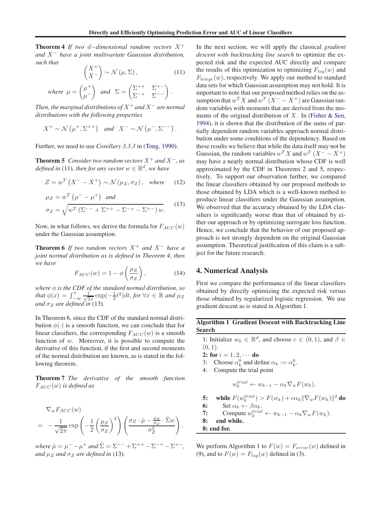<span id="page-5-0"></span>Theorem 4 *If two* <sup>d</sup>−*dimensional random vectors* <sup>X</sup><sup>+</sup> *and* X<sup>−</sup> *have a joint multivariate Gaussian distribution, such that*

$$
\begin{pmatrix} X^+ \\ X^- \end{pmatrix} \sim \mathcal{N} \left( \mu, \Sigma \right), \tag{11}
$$

where 
$$
\mu = \begin{pmatrix} \mu^+ \\ \mu^- \end{pmatrix}
$$
 and  $\Sigma = \begin{pmatrix} \Sigma^{++} & \Sigma^{+-} \\ \Sigma^{-+} & \Sigma^{--} \end{pmatrix}$ .

*Then, the marginal distributions of*  $X^+$  *and*  $X^-$  *are normal distributions with the following properties*

$$
X^+ \sim \mathcal{N}\left(\mu^+, \Sigma^{++}\right) \quad \text{and} \quad X^- \sim \mathcal{N}\left(\mu^-, \Sigma^{--}\right).
$$

Further, we need to use *Corollary 3.3.3* in [\(Tong,](#page-9-0) [1990](#page-9-0)).

**Theorem 5** *Consider two random vectors*  $X^+$  *and*  $X^-$ *, as defined in* (11), then for any vector  $w \in \mathbb{R}^d$ , we have

$$
Z = w^T \left( X^- - X^+ \right) \sim \mathcal{N} \left( \mu_Z, \sigma_Z \right), \quad \text{where} \tag{12}
$$

$$
\mu_Z = w^T \left( \mu^- - \mu^+ \right) \text{ and}
$$
  
\n
$$
\sigma_Z = \sqrt{w^T \left( \Sigma^{--} + \Sigma^{++} - \Sigma^{-+} - \Sigma^{+-} \right) w}.
$$
 (13)

Now, in what follows, we derive the formula for  $F_{AUC}(w)$ under the Gaussian assumption.

**Theorem 6** *If two random vectors*  $X^+$  *and*  $X^-$  *have a joint normal distribution as is defined in Theorem [4,](#page-4-0) then we have*

$$
F_{AUC}(w) = 1 - \phi\left(\frac{\mu_Z}{\sigma_Z}\right),\tag{14}
$$

*where* φ *is the CDF of the standard normal distribution, so that*  $\phi(x) = \int_{-\infty}^{x} \frac{1}{\sqrt{2\pi}} \exp(-\frac{1}{2}t^2) dt$ , for  $\forall x \in \mathbb{R}$  and  $\mu_Z$ *and*  $\sigma_Z$  *are defined in* (13).

In Theorem 6, since the CDF of the standard normal distribution  $\phi(\cdot)$  is a smooth function, we can conclude that for linear classifiers, the corresponding  $F_{AUC}(w)$  is a smooth function of  $w$ . Moreover, it is possible to compute the derivative of this function, if the first and second moments of the normal distribution are known, as is stated in the following theorem.

Theorem 7 *The derivative of the smooth function* FAUC (w) *is defined as*

$$
\nabla_w F_{AUC}(w)
$$
\n
$$
= -\frac{1}{\sqrt{2\pi}} \exp\left(-\frac{1}{2}\left(\frac{\mu_Z}{\sigma_Z}\right)^2\right) \left(\frac{\sigma_Z \cdot \hat{\mu} - \frac{\mu_Z}{\sigma_Z} \cdot \hat{\Sigma}w}{\sigma_Z^2}\right)
$$

*where*  $\hat{\mu} = \mu^- - \mu^+$  *and*  $\hat{\Sigma} = \Sigma^{--} + \Sigma^{++} - \Sigma^{-+} - \Sigma^{+-}$ , *and*  $\mu_Z$  *and*  $\sigma_Z$  *are defined in* (13)*.* 

In the next section, we will apply the classical *gradient descent with backtracking line search* to optimize the expected risk and the expected AUC directly and compare the results of this optimization to optimizing  $F_{log}(w)$  and  $F_{hinge}(w)$ , respectively. We apply our method to standard data sets for which Gaussian assumption may not hold. It is important to note that our proposed method relies on the assumption that  $w^T X$  and  $w^T (X^- - X^+)$  are Gaussian random variables with moments that are derived from the moments of the original distribution of  $X$ . In [\(Fisher & Sen,](#page-9-0) [1994\)](#page-9-0), it is shown that the distribution of the sums of partially dependent random variables approach normal distribution under some conditions of the dependency. Based on these results we believe that while the data itself may not be Gaussian, the random variables  $w^T X$  and  $w^T (X^- - X^+)$ may have a nearly normal distribution whose CDF is well approximated by the CDF in Theorems [2](#page-4-0) and 5, respectively. To support our observation further, we compared the linear classifiers obtained by our proposed methods to those obtained by LDA which is a well-known method to produce linear classifiers under the Gaussian assumption. We observed that the accuracy obtained by the LDA classifiers is significantly worse than that of obtained by either our approach or by optimizing surrogate loss function. Hence, we conclude that the behavior of our proposed approach is not strongly dependent on the original Gaussian assumption. Theoretical justification of this claim is a subject for the future research.

#### 4. Numerical Analysis

First we compare the performance of the linear classifiers obtained by directly optimizing the expected risk versus those obtained by regularized logistic regression. We use gradient descent as is stated in Algorithm 1.

#### Algorithm 1 Gradient Descent with Backtracking Line Search

1: Initialize  $w_0 \in \mathbb{R}^d$ , and choose  $c \in (0,1)$ , and  $\beta \in$  $(0, 1)$ .

**2:** for  $i = 1, 2, \cdots$  do

- 3: Choose  $\alpha_k^0$  and define  $\alpha_k := \alpha_k^0$ .
- 4: Compute the trial point

$$
w_k^{trial} \leftarrow w_{k-1} - \alpha_k \nabla_w F(w_k).
$$

5: while 
$$
F(w_k^{trial}) > F(w_k) + c\alpha_k \|\nabla_w F(w_k)\|^2
$$
 do

6: Set 
$$
\alpha_k \leftarrow \beta \alpha_k
$$
.

7: Compute  $w_k^{trial} \leftarrow w_{k-1} - \alpha_k \nabla_w F(w_k)$ .

8: end while.

8: end for.

.

We perform Algorithm 1 to  $F(w) = F_{error}(w)$  defined in [\(9\)](#page-4-0), and to  $F(w) = F_{log}(w)$  defined in [\(3\)](#page-3-0).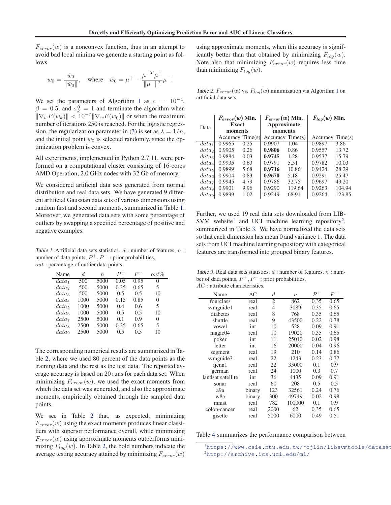<span id="page-6-0"></span> $F_{error}(w)$  is a nonconvex function, thus in an attempt to avoid bad local minima we generate a starting point as follows

$$
w_0 = \frac{\bar{w}_0}{\|\bar{w}_0\|}
$$
, where  $\bar{w}_0 = \mu^+ - \frac{\mu^{-T} \mu^+}{\|\mu^-\|^2} \mu^-$ .

We set the parameters of Algorithm [1](#page-5-0) as  $c = 10^{-4}$ ,  $\beta = 0.5$ , and  $\sigma_k^0 = 1$  and terminate the algorithm when  $\|\nabla_w F(w_k)\| < 10^{-7} \|\nabla_w F(w_0)\|$  or when the maximum number of iterations 250 is reached. For the logistic regres-sion, the regularization parameter in [\(3\)](#page-3-0) is set as  $\lambda = 1/n$ , and the initial point  $w_0$  is selected randomly, since the optimization problem is convex.

All experiments, implemented in Python 2.7.11, were performed on a computational cluster consisting of 16-cores AMD Operation, 2.0 GHz nodes with 32 Gb of memory.

We considered artificial data sets generated from normal distribution and real data sets. We have generated 9 different artificial Gaussian data sets of various dimensions using random first and second moments, summarized in Table 1. Moreover, we generated data sets with some percentage of outliers by swapping a specified percentage of positive and negative examples.

Table 1. Artificial data sets statistics.  $d$ : number of features,  $n$ : number of data points,  $P^+$ ,  $P^-$  : prior probabilities, out : percentage of outlier data points.

| Name              | d.   | $\eta$ | D+   |      | $out\%$  |
|-------------------|------|--------|------|------|----------|
| $data_1$          | 500  | 5000   | 0.05 | 0.95 |          |
| data <sub>2</sub> | 500  | 5000   | 0.35 | 0.65 | 5        |
| data <sub>3</sub> | 500  | 5000   | 0.5  | 0.5  | 10       |
| $data_4$          | 1000 | 5000   | 0.15 | 0.85 | 0        |
| data <sub>5</sub> | 1000 | 5000   | 0.4  | 0.6  | 5        |
| data <sub>6</sub> | 1000 | 5000   | 0.5  | 0.5  | 10       |
| data              | 2500 | 5000   | 0.1  | 0.9  | $\Omega$ |
| $data_{8}$        | 2500 | 5000   | 0.35 | 0.65 | 5        |
| data <sub>9</sub> | 2500 | 5000   | 0 5  | 0 5  | 10       |

The corresponding numerical results are summarized in Table 2, where we used 80 percent of the data points as the training data and the rest as the test data. The reported average accuracy is based on 20 runs for each data set. When minimizing  $F_{error}(w)$ , we used the exact moments from which the data set was generated, and also the approximate moments, empirically obtained through the sampled data points.

We see in Table 2 that, as expected, minimizing  $F_{error}(w)$  using the exact moments produces linear classifiers with superior performance overall, while minimizing  $F_{error}(w)$  using approximate moments outperforms minimizing  $F_{log}(w)$ . In Table 2, the bold numbers indicate the average testing accuracy attained by minimizing  $F_{error}(w)$ 

using approximate moments, when this accuracy is significantly better than that obtained by minimizing  $F_{log}(w)$ . Note also that minimizing  $F_{error}(w)$  requires less time than minimizing  $F_{log}(w)$ .

Table 2.  $F_{error}(w)$  vs.  $F_{log}(w)$  minimization via Algorithm [1](#page-5-0) on artificial data sets.

|      |                   | $F_{error}(w)$ Min. |             | $F_{error}(w)$ Min. |        | $F_{log}(w)$ Min. |        |
|------|-------------------|---------------------|-------------|---------------------|--------|-------------------|--------|
| Data | <b>Exact</b>      |                     | Approximate |                     |        |                   |        |
|      |                   | moments             |             | moments             |        |                   |        |
|      |                   | Accuracy Time(s)    |             | Accuracy Time(s)    |        | Accuracy Time(s)  |        |
|      | $data_1$          | 0.9965              | 0.25        | 0.9907              | 1.04   | 0.9897            | 3.86   |
|      | data <sub>2</sub> | 0.9905              | 0.26        | 0.9806              | 0.86   | 0.9557            | 13.72  |
|      | data <sub>3</sub> | 0.9884              | 0.03        | 0.9745              | 1.28   | 0.9537            | 15.79  |
|      | data <sub>4</sub> | 0.9935              | 0.63        | 0.9791              | 5.51   | 0.9782            | 10.03  |
|      | data <sub>5</sub> | 0.9899              | 5.68        | 0.9716              | 10.86  | 0.9424            | 28.29  |
|      | data <sub>6</sub> | 0.9904              | 0.83        | 0.9670              | 5.18   | 0.9291            | 25.47  |
|      | data <sub>7</sub> | 0.9945              | 4.79        | 0.9786              | 32.75  | 0.9697            | 43.20  |
|      | data <sub>8</sub> | 0.9901              | 9.96        | 0.9290              | 119.64 | 0.9263            | 104.94 |
|      | data <sub>9</sub> | 0.9899              | 1.02        | 0.9249              | 68.91  | 0.9264            | 123.85 |
|      |                   |                     |             |                     |        |                   |        |

Further, we used 19 real data sets downloaded from LIB-SVM website<sup>1</sup> and UCI machine learning repository<sup>2</sup>, summarized in Table 3. We have normalized the data sets so that each dimension has mean 0 and variance 1. The data sets from UCI machine learning repository with categorical features are transformed into grouped binary features.

Table 3. Real data sets statistics.  $d:$  number of features,  $n:$  number of data points,  $P^+$ ,  $P^-$ : prior probabilities,  $AC$ : attribute characteristics.

| Name              | AC     | d    | $\boldsymbol{n}$ | $P^+$ | $P^-$ |
|-------------------|--------|------|------------------|-------|-------|
| fourclass         | real   | 2    | 862              | 0.35  | 0.65  |
| svmguide1         | real   | 4    | 3089             | 0.35  | 0.65  |
| diabetes          | real   | 8    | 768              | 0.35  | 0.65  |
| shuttle           | real   | 9    | 43500            | 0.22  | 0.78  |
| vowel             | int    | 10   | 528              | 0.09  | 0.91  |
| magic04           | real   | 10   | 19020            | 0.35  | 0.65  |
| poker             | int    | 11   | 25010            | 0.02  | 0.98  |
| letter            | int    | 16   | 20000            | 0.04  | 0.96  |
| segment           | real   | 19   | 210              | 0.14  | 0.86  |
| svmguide3         | real   | 22   | 1243             | 0.23  | 0.77  |
| ijcnn1            | real   | 22   | 35000            | 0.1   | 0.9   |
| german            | real   | 24   | 1000             | 0.3   | 0.7   |
| landsat satellite | int    | 36   | 4435             | 0.09  | 0.91  |
| sonar             | real   | 60   | 208              | 0.5   | 0.5   |
| a9a               | binary | 123  | 32561            | 0.24  | 0.76  |
| w8a               | binary | 300  | 49749            | 0.02  | 0.98  |
| mnist             | real   | 782  | 100000           | 0.1   | 0.9   |
| colon-cancer      | real   | 2000 | 62               | 0.35  | 0.65  |
| gisette           | real   | 5000 | 6000             | 0.49  | 0.51  |

Table [4](#page-7-0) summarizes the performance comparison between

<sup>&</sup>lt;sup>1</sup>https://www.csie.ntu.edu.tw/~cjlin/libsvmtools/dataset<br><sup>2</sup>http://archive.ics.usi.edu/ml/  $^{2}$ <http://archive.ics.uci.edu/ml/>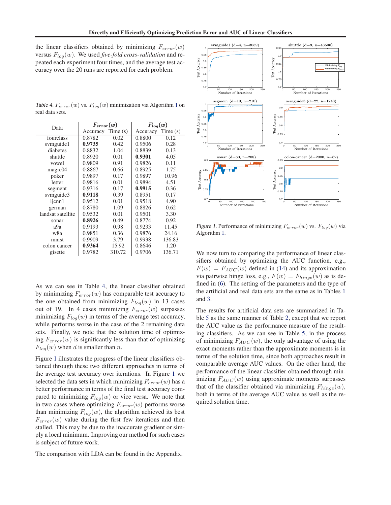<span id="page-7-0"></span>the linear classifiers obtained by minimizing  $F_{error}(w)$ versus  $F_{log}(w)$ . We used *five-fold cross-validation* and repeated each experiment four times, and the average test accuracy over the 20 runs are reported for each problem.

Table 4.  $F_{error}(w)$  vs.  $F_{log}(w)$  minimization via Algorithm [1](#page-5-0) on real data sets.

| Data              | $F_{error}(w)$    |        | $F_{log}(w)$      |        |  |
|-------------------|-------------------|--------|-------------------|--------|--|
|                   | Accuracy Time (s) |        | Accuracy Time (s) |        |  |
| fourclass         | 0.8782            | 0.02   | 0.8800            | 0.12   |  |
| symguide1         | 0.9735            | 0.42   | 0.9506            | 0.28   |  |
| diabetes          | 0.8832            | 1.04   | 0.8839            | 0.13   |  |
| shuttle           | 0.8920            | 0.01   | 0.9301            | 4.05   |  |
| vowel             | 0.9809            | 0.91   | 0.9826            | 0.11   |  |
| magic04           | 0.8867            | 0.66   | 0.8925            | 1.75   |  |
| poker             | 0.9897            | 0.17   | 0.9897            | 10.96  |  |
| letter            | 0.9816            | 0.01   | 0.9894            | 4.51   |  |
| segment           | 0.9316            | 0.17   | 0.9915            | 0.36   |  |
| symguide3         | 0.9118            | 0.39   | 0.8951            | 0.17   |  |
| ijcnn1            | 0.9512            | 0.01   | 0.9518            | 4.90   |  |
| german            | 0.8780            | 1.09   | 0.8826            | 0.62   |  |
| landsat satellite | 0.9532            | 0.01   | 0.9501            | 3.30   |  |
| sonar             | 0.8926            | 0.49   | 0.8774            | 0.92   |  |
| a9a               | 0.9193            | 0.98   | 0.9233            | 11.45  |  |
| w8a               | 0.9851            | 0.36   | 0.9876            | 24.16  |  |
| mnist             | 0.9909            | 3.79   | 0.9938            | 136.83 |  |
| colon cancer      | 0.9364            | 15.92  | 0.8646            | 1.20   |  |
| gisette           | 0.9782            | 310.72 | 0.9706            | 136.71 |  |

As we can see in Table 4, the linear classifier obtained by minimizing  $F_{error}(w)$  has comparable test accuracy to the one obtained from minimizing  $F_{log}(w)$  in 13 cases out of 19. In 4 cases minimizing  $F_{error}(w)$  surpasses minimizing  $F_{log}(w)$  in terms of the average test accuracy, while performs worse in the case of the 2 remaining data sets. Finally, we note that the solution time of optimizing  $F_{error}(w)$  is significantly less than that of optimizing  $F_{log}(w)$  when d is smaller than n.

Figure 1 illustrates the progress of the linear classifiers obtained through these two different approaches in terms of the average test accuracy over iterations. In Figure 1 we selected the data sets in which minimizing  $F_{error}(w)$  has a better performance in terms of the final test accuracy compared to minimizing  $F_{log}(w)$  or vice versa. We note that in two cases where optimizing  $F_{error}(w)$  performs worse than minimizing  $F_{log}(w)$ , the algorithm achieved its best  $F_{error}(w)$  value during the first few iterations and then stalled. This may be due to the inaccurate gradient or simply a local minimum. Improving our method for such cases is subject of future work.

The comparison with LDA can be found in the Appendix.



Figure 1. Performance of minimizing  $F_{error}(w)$  vs.  $F_{log}(w)$  via Algorithm [1.](#page-5-0)

We now turn to comparing the performance of linear classifiers obtained by optimizing the AUC function, e.g.,  $F(w) = F_{AUC}(w)$  defined in [\(14\)](#page-5-0) and its approximation via pairwise hinge loss, e.g.,  $F(w) = F_{hinge}(w)$  as is defined in [\(6\)](#page-3-0). The setting of the parameters and the type of the artificial and real data sets are the same as in Tables [1](#page-6-0) and [3.](#page-6-0)

The results for artificial data sets are summarized in Table [5](#page-8-0) as the same manner of Table [2,](#page-6-0) except that we report the AUC value as the performance measure of the resulting classifiers. As we can see in Table [5,](#page-8-0) in the process of minimizing  $F_{AUC}(w)$ , the only advantage of using the exact moments rather than the approximate moments is in terms of the solution time, since both approaches result in comparable average AUC values. On the other hand, the performance of the linear classifier obtained through minimizing  $F_{AUC}(w)$  using approximate moments surpasses that of the classifier obtained via minimizing  $F_{hinge}(w)$ , both in terms of the average AUC value as well as the required solution time.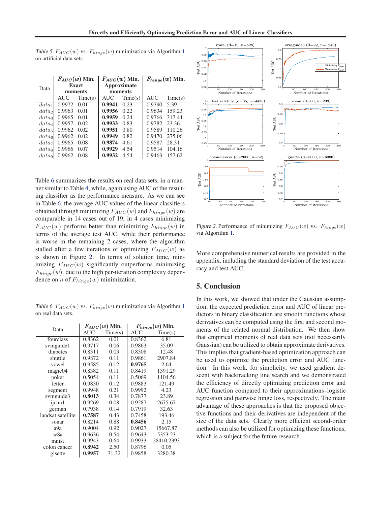<span id="page-8-0"></span>Table 5.  $F_{AUC}(w)$  vs.  $F_{hinge}(w)$  minimization via Algorithm [1](#page-5-0) on artificial data sets.

| Data              | $F_{AUC}(w)$ Min.<br><b>Exact</b><br>moments |         | $F_{AUC}(w)$ Min.<br>Approximate<br>moments |         | $F_{hinge}(w)$ Min. |         |
|-------------------|----------------------------------------------|---------|---------------------------------------------|---------|---------------------|---------|
|                   | <b>AUC</b>                                   | Time(s) | <b>AUC</b>                                  | Time(s) | <b>AUC</b>          | Time(s) |
| $data_1$          | 0.9972                                       | 0.01    | 0.9941                                      | 0.23    | 0.9790              | 5.39    |
| data <sub>2</sub> | 0.9963                                       | 0.01    | 0.9956                                      | 0.22    | 0.9634              | 159.23  |
| data <sub>3</sub> | 0.9965                                       | 0.01    | 0.9959                                      | 0.24    | 0.9766              | 317.44  |
| $data_4$          | 0.9957                                       | 0.02    | 0.9933                                      | 0.83    | 0.9782              | 23.36   |
| data <sub>5</sub> | 0.9962                                       | 0.02    | 0.9951                                      | 0.80    | 0.9589              | 110.26  |
| data <sub>6</sub> | 0.9962                                       | 0.02    | 0.9949                                      | 0.82    | 0.9470              | 275.06  |
| data <sub>7</sub> | 0.9965                                       | 0.08    | 0.9874                                      | 4.61    | 0.9587              | 28.31   |
| $data_{8}$        | 0.9966                                       | 0.07    | 0.9929                                      | 4.54    | 0.9514              | 104.16  |
| data <sub>9</sub> | 0.9962                                       | 0.08    | 0.9932                                      | 4.54    | 0.9463              | 157.62  |

Table 6 summarizes the results on real data sets, in a manner similar to Table [4,](#page-7-0) while, again using AUC of the resulting classifier as the performance measure. As we can see in Table 6, the average AUC values of the linear classifiers obtained through minimizing  $F_{AUC}(w)$  and  $F_{hinge}(w)$  are comparable in 14 cases out of 19, in 4 cases minimizing  $F_{AUC}(w)$  performs better than minimizing  $F_{hinge}(w)$  in terms of the average test AUC, while their performance is worse in the remaining 2 cases, where the algorithm stalled after a few iterations of optimizing  $F_{AUC}(w)$  as is shown in Figure 2. In terms of solution time, minimizing  $F_{AUC}(w)$  significantly outperforms minimizing  $F_{hinge}(w)$ , due to the high per-iteration complexity dependence on *n* of  $F_{hinge}(w)$  minimization.

Table 6.  $F_{AUC}(w)$  vs.  $F_{hinge}(w)$  minimization via Algorithm [1](#page-5-0) on real data sets.

| Data              | $F_{AUC}(w)$ Min. |         | $F_{hinge}(w)$ Min. |            |
|-------------------|-------------------|---------|---------------------|------------|
|                   | <b>AUC</b>        | Time(s) | AUC                 | Time(s)    |
| fourclass         | 0.8362            | 0.01    | 0.8362              | 6.81       |
| svmguide1         | 0.9717            | 0.06    | 0.9863              | 35.09      |
| diabetes          | 0.8311            | 0.03    | 0.8308              | 12.48      |
| shuttle           | 0.9872            | 0.11    | 0.9861              | 2907.84    |
| vowel             | 0.9585            | 0.12    | 0.9765              | 2.64       |
| magic04           | 0.8382            | 0.11    | 0.8419              | 1391.29    |
| poker             | 0.5054            | 0.11    | 0.5069              | 1104.56    |
| letter            | 0.9830            | 0.12    | 0.9883              | 121.49     |
| segment           | 0.9948            | 0.21    | 0.9992              | 4.23       |
| symguide3         | 0.8013            | 0.34    | 0.7877              | 23.89      |
| ijcnn1            | 0.9269            | 0.08    | 0.9287              | 2675.67    |
| german            | 0.7938            | 0.14    | 0.7919              | 32.63      |
| landsat satellite | 0.7587            | 0.43    | 0.7458              | 193.46     |
| sonar             | 0.8214            | 0.88    | 0.8456              | 2.15       |
| a9a               | 0.9004            | 0.92    | 0.9027              | 15667.87   |
| w8a               | 0.9636            | 0.54    | 0.9643              | 5353.23    |
| mnist             | 0.9943            | 0.64    | 0.9933              | 28410.2393 |
| colon cancer      | 0.8942            | 2.50    | 0.8796              | 0.05       |
| gisette           | 0.9957            | 31.32   | 0.9858              | 3280.38    |



Figure 2. Performance of minimizing  $F_{AUC}(w)$  vs.  $F_{hinge}(w)$ via Algorithm [1.](#page-5-0)

More comprehensive numerical results are provided in the appendix, including the standard deviation of the test accuracy and test AUC.

#### 5. Conclusion

In this work, we showed that under the Gaussian assumption, the expected prediction error and AUC of linear predictors in binary classification are smooth functions whose derivatives can be computed using the first and second moments of the related normal distribution. We then show that empirical moments of real data sets (not necessarily Gaussian) can be utilized to obtain approximate derivatives. This implies that gradient-based optimization approach can be used to optimize the prediction error and AUC function. In this work, for simplicity, we used gradient descent with backtracking line search and we demonstrated the efficiency of directly optimizing prediction error and AUC function compared to their approximations–logistic regression and pairwise hinge loss, respectively. The main advantage of these approaches is that the proposed objective functions and their derivatives are independent of the size of the data sets. Clearly more efficient second-order methods can also be utilized for optimizing these functions, which is a subject for the future research.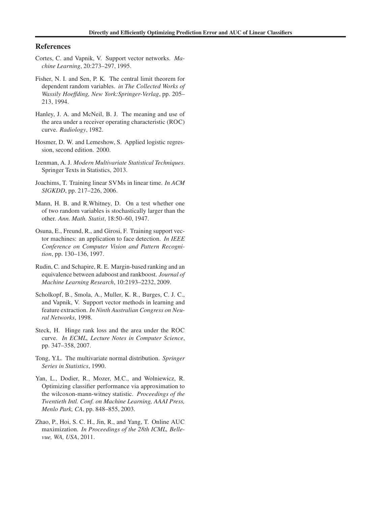#### <span id="page-9-0"></span>References

- Cortes, C. and Vapnik, V. Support vector networks. *Machine Learning*, 20:273–297, 1995.
- Fisher, N. I. and Sen, P. K. The central limit theorem for dependent random variables. *in The Collected Works of Wassily Hoeffding, New York:Springer-Verlag*, pp. 205– 213, 1994.
- Hanley, J. A. and McNeil, B. J. The meaning and use of the area under a receiver operating characteristic (ROC) curve. *Radiology*, 1982.
- Hosmer, D. W. and Lemeshow, S. Applied logistic regression, second edition. 2000.
- Izenman, A. J. *Modern Multivariate Statistical Techniques*. Springer Texts in Statistics, 2013.
- Joachims, T. Training linear SVMs in linear time. *In ACM SIGKDD*, pp. 217–226, 2006.
- Mann, H. B. and R.Whitney, D. On a test whether one of two random variables is stochastically larger than the other. *Ann. Math. Statist*, 18:50–60, 1947.
- Osuna, E., Freund, R., and Girosi, F. Training support vector machines: an application to face detection. *In IEEE Conference on Computer Vision and Pattern Recognition*, pp. 130–136, 1997.
- Rudin, C. and Schapire, R. E. Margin-based ranking and an equivalence between adaboost and rankboost. *Journal of Machine Learning Research*, 10:2193–2232, 2009.
- Scholkopf, B., Smola, A., Muller, K. R., Burges, C. J. C., and Vapnik, V. Support vector methods in learning and feature extraction. *In Ninth Australian Congress on Neural Networks*, 1998.
- Steck, H. Hinge rank loss and the area under the ROC curve. *In ECML, Lecture Notes in Computer Science*, pp. 347–358, 2007.
- Tong, Y.L. The multivariate normal distribution. *Springer Series in Statistics*, 1990.
- Yan, L., Dodier, R., Mozer, M.C., and Wolniewicz, R. Optimizing classifier performance via approximation to the wilcoxon-mann-witney statistic. *Proceedings of the Twentieth Intl. Conf. on Machine Learning, AAAI Press, Menlo Park, CA*, pp. 848–855, 2003.
- Zhao, P., Hoi, S. C. H., Jin, R., and Yang, T. Online AUC maximization. *In Proceedings of the 28th ICML, Bellevue, WA, USA*, 2011.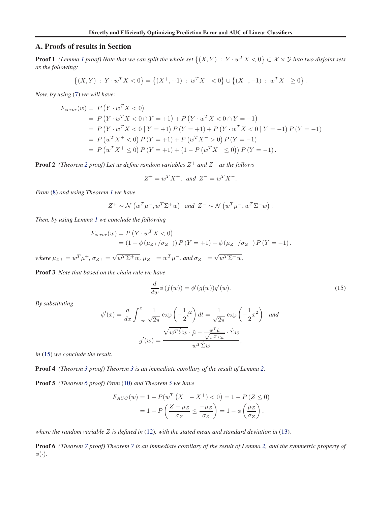#### A. Proofs of results in Section

**Proof [1](#page-4-0)** (Lemma 1 proof) Note that we can split the whole set  $\{(X,Y) \,:\, Y\cdot w^TX < 0\} \subset \mathcal{X}\times\mathcal{Y}$  into two disjoint sets *as the following:*

$$
\{(X,Y) : Y \cdot w^T X < 0\} = \left\{(X^+,+1) : w^T X^+ < 0\right\} \cup \left\{(X^-, -1) : w^T X^- \ge 0\right\}.
$$

*Now, by using* [\(7\)](#page-4-0) *we will have:*

$$
F_{error}(w) = P(Y \cdot w^T X < 0)
$$
\n
$$
= P(Y \cdot w^T X < 0 \cap Y = +1) + P(Y \cdot w^T X < 0 \cap Y = -1)
$$
\n
$$
= P(Y \cdot w^T X < 0 | Y = +1) P(Y = +1) + P(Y \cdot w^T X < 0 | Y = -1) P(Y = -1)
$$
\n
$$
= P(w^T X^+ < 0) P(Y = +1) + P(w^T X^- > 0) P(Y = -1)
$$
\n
$$
= P(w^T X^+ \le 0) P(Y = +1) + (1 - P(w^T X^- \le 0)) P(Y = -1).
$$

Proof 2 *(Theorem [2](#page-4-0) proof) Let us define random variables* Z<sup>+</sup> *and* Z<sup>−</sup> *as the follows*

$$
Z^+ = w^T X^+, \text{ and } Z^- = w^T X^-.
$$

*From* [\(8\)](#page-4-0) *and using Theorem [1](#page-4-0) we have*

$$
Z^+ \sim \mathcal{N}\left(w^T \mu^+, w^T \Sigma^+ w\right) \text{ and } Z^- \sim \mathcal{N}\left(w^T \mu^-, w^T \Sigma^- w\right).
$$

*Then, by using Lemma [1](#page-4-0) we conclude the following*

$$
F_{error}(w) = P(Y \cdot w^T X < 0)
$$
\n
$$
= (1 - \phi(\mu_{Z^+}/\sigma_{Z^+})) P(Y = +1) + \phi(\mu_{Z^-}/\sigma_{Z^-}) P(Y = -1).
$$

 $where \mu_{Z^+} = w^T \mu^+, \sigma_{Z^+} = \sqrt{w^T \Sigma^+ w}, \mu_{Z^-} = w^T \mu^-, and \sigma_{Z^-} = \sqrt{w^T \Sigma^- w}.$ 

Proof 3 *Note that based on the chain rule we have*

$$
\frac{d}{dw}\phi\left(f(w)\right) = \phi'(g(w))g'(w). \tag{15}
$$

*By substituting*

$$
\phi'(x) = \frac{d}{dx} \int_{-\infty}^{x} \frac{1}{\sqrt{2\pi}} \exp\left(-\frac{1}{2}t^2\right) dt = \frac{1}{\sqrt{2\pi}} \exp\left(-\frac{1}{2}x^2\right) \text{ and}
$$

$$
g'(w) = \frac{\sqrt{w^T \hat{\Sigma} w} \cdot \hat{\mu} - \frac{w^T \hat{\mu}}{\sqrt{w^T \hat{\Sigma} w}} \cdot \hat{\Sigma} w}{w^T \hat{\Sigma} w},
$$

*in* (15) *we conclude the result.*

Proof 4 *(Theorem [3](#page-4-0) proof) Theorem [3](#page-4-0) is an immediate corollary of the result of Lemma [2.](#page-4-0)*

Proof 5 *(Theorem [6](#page-5-0) proof) From* [\(10\)](#page-4-0) *and Theorem [5](#page-5-0) we have*

$$
F_{AUC}(w) = 1 - P(w^T (X^- - X^+) < 0) = 1 - P(Z \le 0)
$$

$$
= 1 - P\left(\frac{Z - \mu_Z}{\sigma_Z} \le \frac{-\mu_Z}{\sigma_Z}\right) = 1 - \phi\left(\frac{\mu_Z}{\sigma_Z}\right),
$$

*where the random variable* Z *is defined in* [\(12\)](#page-5-0)*, with the stated mean and standard deviation in* [\(13\)](#page-5-0)*.*

Proof 6 *(Theorem [7](#page-5-0) proof) Theorem [7](#page-5-0) is an immediate corollary of the result of Lemma [2,](#page-4-0) and the symmetric property of*  $\phi(\cdot)$ .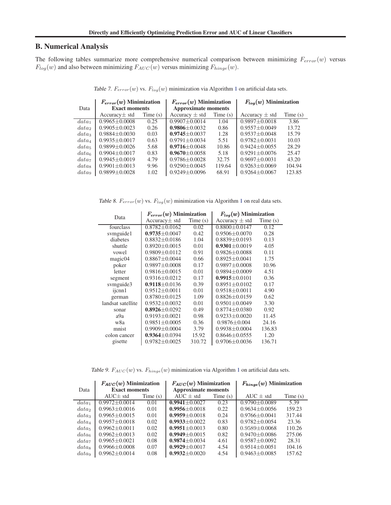#### B. Numerical Analysis

The following tables summarize more comprehensive numerical comparison between minimizing  $F_{error}(w)$  versus  $F_{log}(w)$  and also between minimizing  $F_{AUC}(w)$  versus minimizing  $F_{hinge}(w)$ .

Data  $F_{error}(w)$  Minimization  $\vert$   $F_{error}(w)$  Minimization  $\vert$   $F_{log}(w)$  Minimization Exact moments<br>Accuracy  $\pm$  std Time (s)<br>Accuracy  $\pm$  std Time (s) Accuracy  $\pm$  std Time (s)  $data_1$  0.9965 $\pm$ 0.0008 0.25 0.9907 $\pm$ 0.0014 1.04 0.9897 $\pm$ 0.0018 3.86  $data_2$  0.9905 $\pm$ 0.0023 0.26 0.9806 $\pm$ 0.0032 0.86 0.9557 $\pm$ 0.0049 13.72  $data_3$   $0.9884\pm0.0030$   $0.03$   $0.9745\pm0.0037$   $1.28$   $0.9537\pm0.0048$   $15.79$ <br>  $data_4$   $0.9935\pm0.0017$   $0.63$   $0.9791\pm0.0034$   $5.51$   $0.9782\pm0.0031$   $10.03$  $data_4$   $0.9935\pm0.0017$   $0.63$   $0.9791\pm0.0034$   $5.51$   $0.9782\pm0.0031$   $10.03$ <br>  $data_5$   $0.9899\pm0.0026$   $5.68$   $0.9716\pm0.0048$   $10.86$   $0.9424\pm0.0055$  28.29  $data_5 \begin{array}{|l} 0.9899 \pm 0.0026 \ data_6 \end{array}$  0.9904 $\pm$ 0.0017  $0.9904 \pm 0.0017$   $0.83$  0.9670 $\pm 0.0058$  5.18 0.9291 $\pm 0.0076$  25.47  $data_7$  0.9945 $\pm$ 0.0019 4.79 0.9786 $\pm$ 0.0028 32.75 0.9697 $\pm$ 0.0031 43.20 data<sup>8</sup> 0.9901±0.0013 9.96 0.9290±0.0045 119.64 0.9263±0.0069 104.94  $data_9$  0.9899 $\pm$ 0.0028 1.02 0.9249 $\pm$ 0.0096 68.91 0.9264 $\pm$ 0.0067 123.85

Table 7.  $F_{error}(w)$  vs.  $F_{log}(w)$  minimization via Algorithm [1](#page-5-0) on artificial data sets.

Table 8.  $F_{error}(w)$  vs.  $F_{log}(w)$  minimization via Algorithm [1](#page-5-0) on real data sets.

| Data              | $F_{error}(w)$ Minimization |         | $F_{log}(w)$ Minimization |         |  |
|-------------------|-----------------------------|---------|---------------------------|---------|--|
|                   | Accuracy $\pm$ std          | Time(s) | Accuracy $\pm$ std        | Time(s) |  |
| fourclass         | $0.8782 \pm 0.0162$         | 0.02    | $0.8800 \pm 0.0147$       | 0.12    |  |
| symguide1         | $0.9735 \pm 0.0047$         | 0.42    | $0.9506 \pm 0.0070$       | 0.28    |  |
| diabetes          | $0.8832 + 0.0186$           | 1.04    | $0.8839 \pm 0.0193$       | 0.13    |  |
| shuttle           | $0.8920 \pm 0.0015$         | 0.01    | $0.9301 \pm 0.0019$       | 4.05    |  |
| vowel             | $0.9809 \pm 0.0112$         | 0.91    | $0.9826 \pm 0.0088$       | 0.11    |  |
| magic04           | $0.8867 \pm 0.0044$         | 0.66    | $0.8925 \pm 0.0041$       | 1.75    |  |
| poker             | $0.9897 \pm 0.0008$         | 0.17    | $0.9897 \pm 0.0008$       | 10.96   |  |
| letter            | $0.9816 \pm 0.0015$         | 0.01    | $0.9894 \pm 0.0009$       | 4.51    |  |
| segment           | $0.9316 \pm 0.0212$         | 0.17    | $0.9915 \pm 0.0101$       | 0.36    |  |
| symguide3         | $0.9118 \pm 0.0136$         | 0.39    | $0.8951 \pm 0.0102$       | 0.17    |  |
| ijcnn1            | $0.9512 \pm 0.0011$         | 0.01    | $0.9518 \pm 0.0011$       | 4.90    |  |
| german            | $0.8780 \pm 0.0125$         | 1.09    | $0.8826 \pm 0.0159$       | 0.62    |  |
| landsat satellite | $0.9532 \pm 0.0032$         | 0.01    | $0.9501 \pm 0.0049$       | 3.30    |  |
| sonar             | $0.8926 \pm 0.0292$         | 0.49    | $0.8774 \pm 0.0380$       | 0.92    |  |
| a9a               | $0.9193 \pm 0.0021$         | 0.98    | $0.9233 \pm 0.0020$       | 11.45   |  |
| w8a               | $0.9851 \pm 0.0005$         | 0.36    | $0.9876 \pm 0.004$        | 24.16   |  |
| mnist             | $0.9909 \pm 0.0004$         | 3.79    | $0.9938 \pm 0.0004$       | 136.83  |  |
| colon cancer      | $0.9364 \pm 0.0394$         | 15.92   | $0.8646 \pm 0.0555$       | 1.20    |  |
| gisette           | $0.9782 \pm 0.0025$         | 310.72  | $0.9706 \pm 0.0036$       | 136.71  |  |

Table 9.  $F_{AUC}(w)$  vs.  $F_{hinge}(w)$  minimization via Algorithm [1](#page-5-0) on artificial data sets.

|                   | $F_{AUC}(w)$ Minimization |            | $F_{AUC}(w)$ Minimization  |            | $F_{hinge}(w)$ Minimization |            |
|-------------------|---------------------------|------------|----------------------------|------------|-----------------------------|------------|
| Data              | <b>Exact moments</b>      |            | <b>Approximate moments</b> |            |                             |            |
|                   | $AUC \pm std$             | Time $(s)$ | $AUC \pm std$              | Time $(s)$ | $AUC \pm std$               | Time $(s)$ |
| $data_1$          | $0.9972 + 0.0014$         | 0.01       | $0.9941 + 0.0027$          | 0.23       | $0.9790 \pm 0.0089$         | 5.39       |
| data <sub>2</sub> | $0.9963 + 0.0016$         | 0.01       | $0.9956 + 0.0018$          | 0.22       | $0.9634 + 0.0056$           | 159.23     |
| data <sub>3</sub> | $0.9965 + 0.0015$         | 0.01       | $0.9959 + 0.0018$          | 0.24       | $0.9766 + 0.0041$           | 317.44     |
| data <sub>4</sub> | $0.9957 + 0.0018$         | 0.02       | $0.9933 + 0.0022$          | 0.83       | $0.9782 + 0.0054$           | 23.36      |
| data <sub>5</sub> | $0.9962 + 0.0011$         | 0.02       | $0.9951 + 0.0013$          | 0.80       | $0.9589 + 0.0068$           | 110.26     |
| data <sub>6</sub> | $0.9962 + 0.0013$         | 0.02       | $0.9949 + 0.0015$          | 0.82       | $0.9470 \pm 0.0086$         | 275.06     |
| data <sub>7</sub> | $0.9965 + 0.0021$         | 0.08       | $0.9874 + 0.0034$          | 4.61       | $0.9587 + 0.0092$           | 28.31      |
| $data_{8}$        | $0.9966 \pm 0.0008$       | 0.07       | $0.9929 + 0.0017$          | 4.54       | $0.9514 \pm 0.0051$         | 104.16     |
| data              | $0.9962 + 0.0014$         | 0.08       | $0.9932 + 0.0020$          | 4.54       | $0.9463 + 0.0085$           | 157.62     |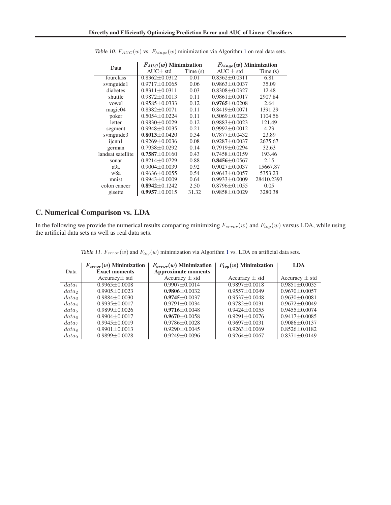| Data              | $F_{AUC}(w)$ Minimization |         | $F_{hinge}(w)$ Minimization |            |
|-------------------|---------------------------|---------|-----------------------------|------------|
|                   | $AUC \pm std$             | Time(s) | $AUC \pm std$               | Time(s)    |
| fourclass         | $0.8362 \pm 0.0312$       | 0.01    | $0.8362 \pm 0.0311$         | 6.81       |
| symguide1         | $0.9717 \pm 0.0065$       | 0.06    | $0.9863 \pm 0.0037$         | 35.09      |
| diabetes          | $0.8311 \pm 0.0311$       | 0.03    | $0.8308 \pm 0.0327$         | 12.48      |
| shuttle           | $0.9872 \pm 0.0013$       | 0.11    | $0.9861 \pm 0.0017$         | 2907.84    |
| vowel             | $0.9585 \pm 0.0333$       | 0.12    | $0.9765 + 0.0208$           | 2.64       |
| magic04           | $0.8382 \pm 0.0071$       | 0.11    | $0.8419 \pm 0.0071$         | 1391.29    |
| poker             | $0.5054 \pm 0.0224$       | 0.11    | $0.5069 \pm 0.0223$         | 1104.56    |
| letter            | $0.9830 \pm 0.0029$       | 0.12    | $0.9883 + 0.0023$           | 121.49     |
| segment           | $0.9948 \pm 0.0035$       | 0.21    | $0.9992 \pm 0.0012$         | 4.23       |
| symguide3         | $0.8013 \pm 0.0420$       | 0.34    | $0.7877 \pm 0.0432$         | 23.89      |
| ijcnn1            | $0.9269 \pm 0.0036$       | 0.08    | $0.9287 \pm 0.0037$         | 2675.67    |
| german            | $0.7938 \pm 0.0292$       | 0.14    | $0.7919 \pm 0.0294$         | 32.63      |
| landsat satellite | $0.7587 \pm 0.0160$       | 0.43    | $0.7458 \pm 0.0159$         | 193.46     |
| sonar             | $0.8214 \pm 0.0729$       | 0.88    | $0.8456 \pm 0.0567$         | 2.15       |
| a9a               | $0.9004 \pm 0.0039$       | 0.92    | $0.9027 \pm 0.0037$         | 15667.87   |
| w8a               | $0.9636 \pm 0.0055$       | 0.54    | $0.9643 \pm 0.0057$         | 5353.23    |
| mnist             | $0.9943 \pm 0.0009$       | 0.64    | $0.9933 \pm 0.0009$         | 28410.2393 |
| colon cancer      | $0.8942 \pm 0.1242$       | 2.50    | $0.8796 \pm 0.1055$         | 0.05       |
| gisette           | $0.9957 \pm 0.0015$       | 31.32   | $0.9858 \pm 0.0029$         | 3280.38    |

Table [1](#page-5-0)0.  $F_{AUC}(w)$  vs.  $F_{hinge}(w)$  minimization via Algorithm 1 on real data sets.

### C. Numerical Comparison vs. LDA

In the following we provide the numerical results comparing minimizing  $F_{error}(w)$  and  $F_{log}(w)$  versus LDA, while using the artificial data sets as well as real data sets.

Table [1](#page-5-0)1.  $F_{error}(w)$  and  $F_{log}(w)$  minimization via Algorithm 1 vs. LDA on artificial data sets.

|                   | $F_{error}(w)$ Minimization | $F_{error}(w)$ Minimization | $F_{log}(w)$ Minimization | <b>LDA</b>          |
|-------------------|-----------------------------|-----------------------------|---------------------------|---------------------|
| Data              | <b>Exact moments</b>        | <b>Approximate moments</b>  |                           |                     |
|                   | $Accuracy \pm std$          | Accuracy $\pm$ std          | Accuracy $\pm$ std        | Accuracy $\pm$ std  |
| $data_1$          | $0.9965 \pm 0.0008$         | $0.9907 + 0.0014$           | $0.9897 \pm 0.0018$       | $0.9851 + 0.0035$   |
| data <sub>2</sub> | $0.9905 \pm 0.0023$         | $0.9806 + 0.0032$           | $0.9557+0.0049$           | $0.9670 + 0.0057$   |
| data <sub>3</sub> | $0.9884 + 0.0030$           | $0.9745 + 0.0037$           | $0.9537 + 0.0048$         | $0.9630 + 0.0081$   |
| $data_4$          | $0.9935 \pm 0.0017$         | $0.9791 + 0.0034$           | $0.9782 \pm 0.0031$       | $0.9672 + 0.0049$   |
| data <sub>5</sub> | $0.9899 + 0.0026$           | $0.9716 + 0.0048$           | $0.9424 + 0.0055$         | $0.9455 + 0.0074$   |
| data <sub>6</sub> | $0.9904 + 0.0017$           | $0.9670 \pm 0.0058$         | $0.9291 + 0.0076$         | $0.9417 + 0.0085$   |
| data <sub>7</sub> | $0.9945 \pm 0.0019$         | $0.9786 \pm 0.0028$         | $0.9697 \pm 0.0031$       | $0.9086 \pm 0.0137$ |
| data <sub>s</sub> | $0.9901 + 0.0013$           | $0.9290 + 0.0045$           | $0.9263 \pm 0.0069$       | $0.8526 \pm 0.0182$ |
| data <sub>9</sub> | $0.9899 \pm 0.0028$         | $0.9249 \pm 0.0096$         | $0.9264 + 0.0067$         | $0.8371 \pm 0.0149$ |